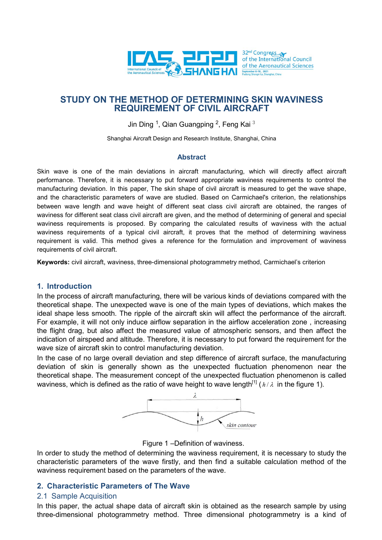

Jin Ding  $1$ , Qian Guangping  $2$ , Feng Kai  $3$ 

Shanghai Aircraft Design and Research Institute, Shanghai, China

### **Abstract**

Skin wave is one of the main deviations in aircraft manufacturing, which will directly affect aircraft performance. Therefore, it is necessary to put forward appropriate waviness requirements to control the manufacturing deviation. In this paper, The skin shape of civil aircraft is measured to get the wave shape, and the characteristic parameters of wave are studied. Based on Carmichael's criterion, the relationships between wave length and wave height of different seat class civil aircraft are obtained, the ranges of waviness for different seat class civil aircraft are given, and the method of determining of general and special waviness requirements is proposed. By comparing the calculated results of waviness with the actual waviness requirements of a typical civil aircraft, it proves that the method of determining waviness requirement is valid. This method gives a reference for the formulation and improvement of waviness requirements of civil aircraft.

**Keywords:** civil aircraft, waviness, three-dimensional photogrammetry method, Carmichael's criterion

### **1. Introduction**

In the process of aircraft manufacturing, there will be various kinds of deviations compared with the theoretical shape. The unexpected wave is one of the main types of deviations, which makes the ideal shape less smooth. The ripple of the aircraft skin will affect the performance of the aircraft. For example, it will not only induce airflow separation in the airflow acceleration zone , increasing the flight drag, but also affect the measured value of atmospheric sensors, and then affect the indication of airspeed and altitude. Therefore, it is necessary to put forward the requirement for the wave size of aircraft skin to control manufacturing deviation.

In the case of no large overall deviation and step difference of aircraft surface, the manufacturing deviation of skin is generally shown as the unexpected fluctuation phenomenon near the theoretical shape. The measurement concept of the unexpected fluctuation phenomenon is called waviness, which is defined as the ratio of wave height to wave length<sup>[1]</sup> ( $h/\lambda$  in the figure 1).



Figure 1 –Definition of waviness.

In order to study the method of determining the waviness requirement, it is necessary to study the characteristic parameters of the wave firstly, and then find a suitable calculation method of the waviness requirement based on the parameters of the wave.

## **2. Characteristic Parameters of The Wave**

## 2.1 Sample Acquisition

In this paper, the actual shape data of aircraft skin is obtained as the research sample by using three-dimensional photogrammetry method. Three dimensional photogrammetry is a kind of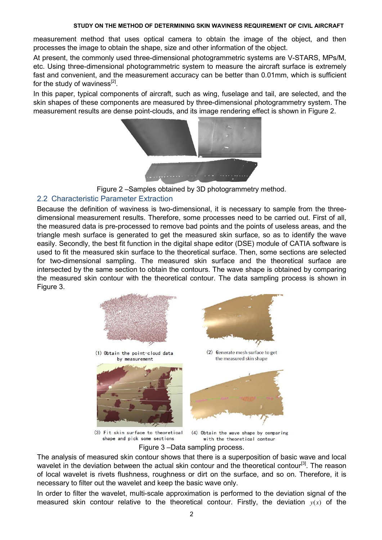measurement method that uses optical camera to obtain the image of the object, and then processes the image to obtain the shape, size and other information of the object.

At present, the commonly used three-dimensional photogrammetric systems are V-STARS, MPs/M, etc. Using three-dimensional photogrammetric system to measure the aircraft surface is extremely fast and convenient, and the measurement accuracy can be better than 0.01mm, which is sufficient for the study of waviness $^{[2]}$ .

In this paper, typical components of aircraft, such as wing, fuselage and tail, are selected, and the skin shapes of these components are measured by three-dimensional photogrammetry system. The measurement results are dense point-clouds, and its image rendering effect is shown in Figure 2.



Figure 2 –Samples obtained by 3D photogrammetry method.

## 2.2 Characteristic Parameter Extraction

Because the definition of waviness is two-dimensional, it is necessary to sample from the threedimensional measurement results. Therefore, some processes need to be carried out. First of all, the measured data is pre-processed to remove bad points and the points of useless areas, and the triangle mesh surface is generated to get the measured skin surface, so as to identify the wave easily. Secondly, the best fit function in the digital shape editor (DSE) module of CATIA software is used to fit the measured skin surface to the theoretical surface. Then, some sections are selected for two-dimensional sampling. The measured skin surface and the theoretical surface are intersected by the same section to obtain the contours. The wave shape is obtained by comparing the measured skin contour with the theoretical contour. The data sampling process is shown in Figure 3.



(3) Fit skin surface to theoretical shape and pick some sections

(4) Obtain the wave shape by comparing with the theoretical contour

Figure 3 –Data sampling process.

The analysis of measured skin contour shows that there is a superposition of basic wave and local wavelet in the deviation between the actual skin contour and the theoretical contour<sup>[3]</sup>. The reason of local wavelet is rivets flushness, roughness or dirt on the surface, and so on. Therefore, it is necessary to filter out the wavelet and keep the basic wave only.

In order to filter the wavelet, multi-scale approximation is performed to the deviation signal of the measured skin contour relative to the theoretical contour. Firstly, the deviation  $y(x)$  of the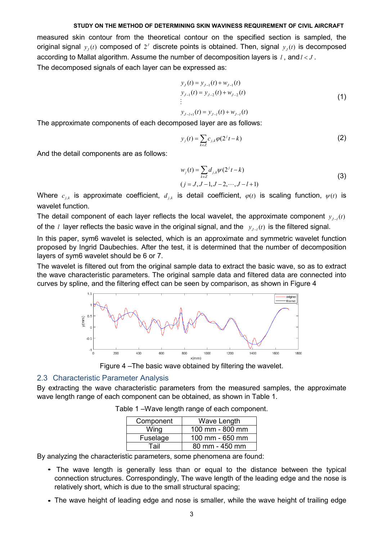measured skin contour from the theoretical contour on the specified section is sampled, the original signal  $y_i(t)$  composed of  $2^J$  discrete points is obtained. Then, signal  $y_i(t)$  is decomposed according to Mallat algorithm. Assume the number of decomposition layers is *l*, and *l* < *J*. The decomposed signals of each layer can be expressed as:

$$
y_{J}(t) = y_{J-1}(t) + w_{J-1}(t)
$$
  
\n
$$
y_{J-1}(t) = y_{J-2}(t) + w_{J-2}(t)
$$
  
\n
$$
\vdots
$$
  
\n
$$
y_{J-l+1}(t) = y_{J-l}(t) + w_{J-l}(t)
$$
\n(1)

The approximate components of each decomposed layer are as follows:

$$
y_j(t) = \sum_{k \in \mathbb{Z}} c_{j,k} \varphi(2^j t - k)
$$
 (2)

And the detail components are as follows:

$$
w_j(t) = \sum_{k \in \mathbb{Z}} d_{j,k} \psi(2^j t - k)
$$
  
(j = J, J - 1, J - 2, ..., J - l + 1) (3)

Where  $c_{i,k}$  is approximate coefficient,  $d_{i,k}$  is detail coefficient,  $\varphi(t)$  is scaling function,  $\psi(t)$  is wavelet function.

The detail component of each layer reflects the local wavelet, the approximate component  $y_{i-1}(t)$ of the *l* layer reflects the basic wave in the original signal, and the  $y_{J-t}(t)$  is the filtered signal.

In this paper, sym6 wavelet is selected, which is an approximate and symmetric wavelet function proposed by Ingrid Daubechies. After the test, it is determined that the number of decomposition layers of sym6 wavelet should be 6 or 7.

The wavelet is filtered out from the original sample data to extract the basic wave, so as to extract the wave characteristic parameters. The original sample data and filtered data are connected into curves by spline, and the filtering effect can be seen by comparison, as shown in Figure 4



Figure 4 –The basic wave obtained by filtering the wavelet.

### 2.3 Characteristic Parameter Analysis

By extracting the wave characteristic parameters from the measured samples, the approximate wave length range of each component can be obtained, as shown in Table 1.

| Component | Wave Length     |
|-----------|-----------------|
| Wing      | 100 mm - 800 mm |
| Fuselage  | 100 mm - 650 mm |
| Tail      | 80 mm - 450 mm  |

Table 1 –Wave length range of each component.

By analyzing the characteristic parameters, some phenomena are found:

- The wave length is generally less than or equal to the distance between the typical *•* connection structures. Correspondingly, The wave length of the leading edge and the nose is relatively short, which is due to the small structural spacing;
- The wave height of leading edge and nose is smaller, while the wave height of trailing edge *•*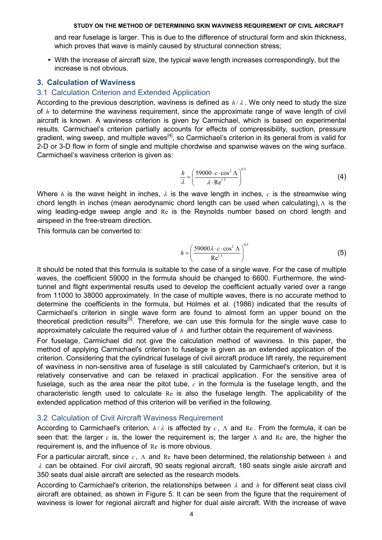and rear fuselage is larger. This is due to the difference of structural form and skin thickness, which proves that wave is mainly caused by structural connection stress;

*•* With the increase of aircraft size, the typical wave length increases correspondingly, but the increase is not obvious.

### **3. Calculation of Waviness**

## 3.1 Calculation Criterion and Extended Application

According to the previous description, waviness is defined as  $h/\lambda$ . We only need to study the size of *h* to determine the waviness requirement, since the approximate range of wave length of civil aircraft is known. A waviness criterion is given by Carmichael, which is based on experimental results. Carmichael's criterion partially accounts for effects of compressibility, suction, pressure gradient, wing sweep, and multiple waves<sup>[4]</sup>, so Carmichael's criterion in its general from is valid for 2-D or 3-D flow in form of single and multiple chordwise and spanwise waves on the wing surface. Carmichael's waviness criterion is given as:

$$
\frac{h}{\lambda} = \left(\frac{59000 \cdot c \cdot \cos^2 \Lambda}{\lambda \cdot \text{Re}^{1.5}}\right)^{0.5}
$$
 (4)

Where *h* is the wave height in inches,  $\lambda$  is the wave length in inches,  $c$  is the streamwise wing chord length in inches (mean aerodynamic chord length can be used when calculating),  $\Lambda$  is the wing leading-edge sweep angle and Re is the Reynolds number based on chord length and airspeed in the free-stream direction.

This formula can be converted to:

$$
h = \left(\frac{59000\lambda \cdot c \cdot \cos^2 \Lambda}{\text{Re}^{1.5}}\right)^{0.5}
$$
 (5)

It should be noted that this formula is suitable to the case of a single wave. For the case of multiple waves, the coefficient 59000 in the formula should be changed to 6600. Furthermore, the windtunnel and flight experimental results used to develop the coefficient actually varied over a range from 11000 to 38000 approximately. In the case of multiple waves, there is no accurate method to determine the coefficients in the formula, but Holmes et al. (1986) indicated that the results of Carmichael's criterion in single wave form are found to almost form an upper bound on the theoretical prediction results<sup>[5]</sup>. Therefore, we can use this formula for the single wave case to approximately calculate the required value of *h* and further obtain the requirement of waviness.

For fuselage, Carmichael did not give the calculation method of waviness. In this paper, the method of applying Carmichael's criterion to fuselage is given as an extended application of the criterion. Considering that the cylindrical fuselage of civil aircraft produce lift rarely, the requirement of waviness in non-sensitive area of fuselage is still calculated by Carmichael's criterion, but it is relatively conservative and can be relaxed in practical application. For the sensitive area of fuselage, such as the area near the pitot tube, *c* in the formula is the fuselage length, and the characteristic length used to calculate Re is also the fuselage length. The applicability of the extended application method of this criterion will be verified in the following.

### 3.2 Calculation of Civil Aircraft Waviness Requirement

According to Carmichael's criterion, *h* / <sup>λ</sup> is affected by *c* , Λ and Re . From the formula, it can be seen that: the larger *c* is, the lower the requirement is; the larger Λ and Re are, the higher the requirement is, and the influence of Re is more obvious.

For a particular aircraft, since *c* , Λ and Re have been determined, the relationship between *h* and  $\lambda$  can be obtained. For civil aircraft, 90 seats regional aircraft, 180 seats single aisle aircraft and 350 seats dual aisle aircraft are selected as the research models.

According to Carmichael's criterion, the relationships between <sup>λ</sup> and *h* for different seat class civil aircraft are obtained, as shown in Figure 5. It can be seen from the figure that the requirement of waviness is lower for regional aircraft and higher for dual aisle aircraft. With the increase of wave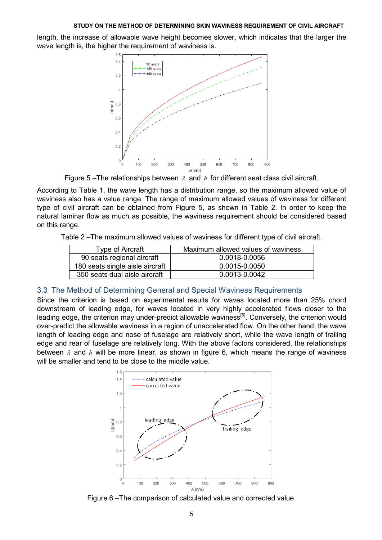length, the increase of allowable wave height becomes slower, which indicates that the larger the wave length is, the higher the requirement of waviness is.



Figure 5 –The relationships between  $\lambda$  and  $h$  for different seat class civil aircraft.

According to Table 1, the wave length has a distribution range, so the maximum allowed value of waviness also has a value range. The range of maximum allowed values of waviness for different type of civil aircraft can be obtained from Figure 5, as shown in Table 2. In order to keep the natural laminar flow as much as possible, the waviness requirement should be considered based on this range.

Table 2 –The maximum allowed values of waviness for different type of civil aircraft.

| Type of Aircraft                | Maximum allowed values of waviness |
|---------------------------------|------------------------------------|
| 90 seats regional aircraft      | 0.0018-0.0056                      |
| 180 seats single aisle aircraft | 0.0015-0.0050                      |
| 350 seats dual aisle aircraft   | 0.0013-0.0042                      |

### 3.3 The Method of Determining General and Special Waviness Requirements

Since the criterion is based on experimental results for waves located more than 25% chord downstream of leading edge, for waves located in very highly accelerated flows closer to the leading edge, the criterion may under-predict allowable waviness<sup>[6]</sup>. Conversely, the criterion would over-predict the allowable waviness in a region of unaccelerated flow. On the other hand, the wave length of leading edge and nose of fuselage are relatively short, while the wave length of trailing edge and rear of fuselage are relatively long. With the above factors considered, the relationships between  $\lambda$  and  $h$  will be more linear, as shown in figure 6, which means the range of waviness will be smaller and tend to be close to the middle value.



Figure 6 –The comparison of calculated value and corrected value.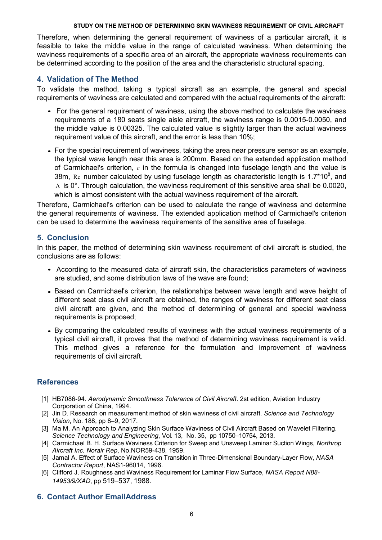Therefore, when determining the general requirement of waviness of a particular aircraft, it is feasible to take the middle value in the range of calculated waviness. When determining the waviness requirements of a specific area of an aircraft, the appropriate waviness requirements can be determined according to the position of the area and the characteristic structural spacing.

## **4. Validation of The Method**

To validate the method, taking a typical aircraft as an example, the general and special requirements of waviness are calculated and compared with the actual requirements of the aircraft:

- For the general requirement of waviness, using the above method to calculate the waviness *•* requirements of a 180 seats single aisle aircraft, the waviness range is 0.0015-0.0050, and the middle value is 0.00325. The calculated value is slightly larger than the actual waviness requirement value of this aircraft, and the error is less than 10%;
- For the special requirement of waviness, taking the area near pressure sensor as an example, *•* the typical wave length near this area is 200mm. Based on the extended application method of Carmichael's criterion, *c* in the formula is changed into fuselage length and the value is 38m, Re number calculated by using fuselage length as characteristic length is 1.7\*10<sup>8</sup>, and Λ is 0°. Through calculation, the waviness requirement of this sensitive area shall be 0.0020, which is almost consistent with the actual waviness requirement of the aircraft.

Therefore, Carmichael's criterion can be used to calculate the range of waviness and determine the general requirements of waviness. The extended application method of Carmichael's criterion can be used to determine the waviness requirements of the sensitive area of fuselage.

## **5. Conclusion**

In this paper, the method of determining skin waviness requirement of civil aircraft is studied, the conclusions are as follows:

- According to the measured data of aircraft skin, the characteristics parameters of waviness *•* are studied, and some distribution laws of the wave are found;
- Based on Carmichael's criterion, the relationships between wave length and wave height of different seat class civil aircraft are obtained, the ranges of waviness for different seat class civil aircraft are given, and the method of determining of general and special waviness requirements is proposed;
- By comparing the calculated results of waviness with the actual waviness requirements of a *•*typical civil aircraft, it proves that the method of determining waviness requirement is valid. This method gives a reference for the formulation and improvement of waviness requirements of civil aircraft.

## **References**

- [1] HB7086-94. *Aerodynamic Smoothness Tolerance of Civil Aircraft*. 2st edition, Aviation Industry Corporation of China, 1994.
- [2] Jin D. Research on measurement method of skin waviness of civil aircraft. *Science and Technology Vision*, No. 188, pp 8–9, 2017.
- [3] Ma M. An Approach to Analyzing Skin Surface Waviness of Civil Aircraft Based on Wavelet Filtering. *Science Technology and Engineering*, Vol. 13, No. 35, pp 10750–10754, 2013.
- [4] Carmichael B. H. Surface Waviness Criterion for Sweep and Unsweep Laminar Suction Wings, *Northrop Aircraft Inc. Norair Rep*, No.NOR59-438, 1959.
- [5] Jamal A. Effect of Surface Waviness on Transition in Three-Dimensional Boundary-Layer Flow, *NASA Contractor Report*, NAS1-96014, 1996.
- [6] Clifford J. Roughness and Waviness Requirement for Laminar Flow Surface, *NASA Report N88- 14953/9/XAD*, pp 519–537, 1988.

# **6. Contact Author EmailAddress**